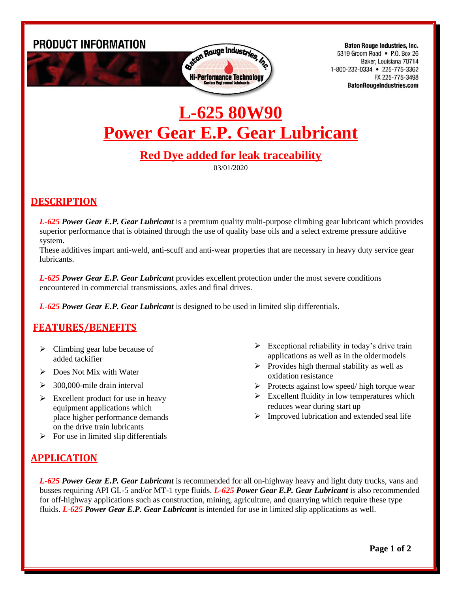**PRODUCT INFORMATION** 



**Baton Rouge Industries, Inc.** 5319 Groom Road • P.O. Box 26 Baker, Louisiana 70714 1-800-232-0334 • 225-775-3362 FX 225-775-3498 **BatonRougeIndustries.com** 

# **L-625 80W90 Power Gear E.P. Gear Lubricant**

## **Red Dye added for leak traceability**

03/01/2020

### **DESCRIPTION**

*L-625 Power Gear E.P. Gear Lubricant* is a premium quality multi-purpose climbing gear lubricant which provides superior performance that is obtained through the use of quality base oils and a select extreme pressure additive system.

These additives impart anti-weld, anti-scuff and anti-wear properties that are necessary in heavy duty service gear lubricants.

*L-625 Power Gear E.P. Gear Lubricant* provides excellent protection under the most severe conditions encountered in commercial transmissions, axles and final drives.

*L-625 Power Gear E.P. Gear Lubricant* is designed to be used in limited slip differentials.

### **FEATURES/BENEFITS**

- $\triangleright$  Climbing gear lube because of added tackifier
- ➢ Does Not Mix with Water
- $\geq$  300,000-mile drain interval
- $\triangleright$  Excellent product for use in heavy equipment applications which place higher performance demands on the drive train lubricants  $\triangleright$  For use in limited slip differentials
- $\triangleright$  Exceptional reliability in today's drive train applications as well as in the oldermodels
- $\triangleright$  Provides high thermal stability as well as oxidation resistance
- ➢ Protects against low speed/ high torque wear
- $\triangleright$  Excellent fluidity in low temperatures which reduces wear during start up
- $\triangleright$  Improved lubrication and extended seal life

### **APPLICATION**

*L-625 Power Gear E.P. Gear Lubricant* is recommended for all on-highway heavy and light duty trucks, vans and busses requiring API GL-5 and/or MT-1 type fluids. *L-625 Power Gear E.P. Gear Lubricant* is also recommended for off-highway applications such as construction, mining, agriculture, and quarrying which require these type fluids. *L-625 Power Gear E.P. Gear Lubricant* is intended for use in limited slip applications as well.